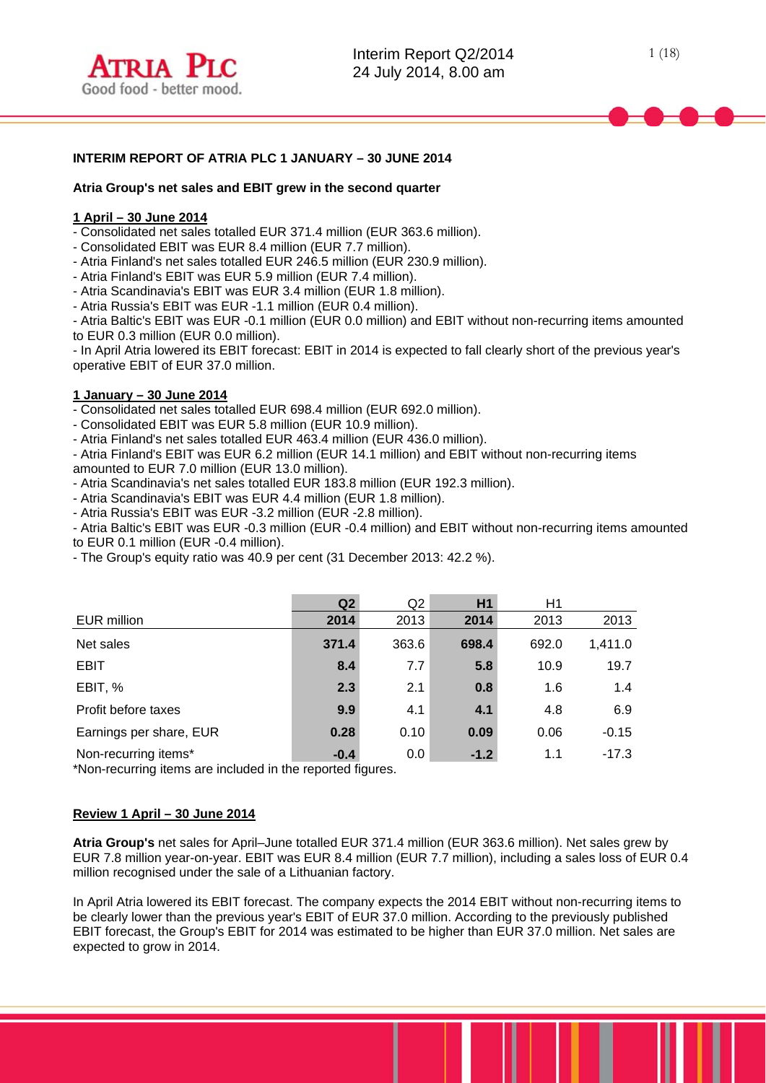# **INTERIM REPORT OF ATRIA PLC 1 JANUARY – 30 JUNE 2014**

### **Atria Group's net sales and EBIT grew in the second quarter**

### **1 April – 30 June 2014**

l

- Consolidated net sales totalled EUR 371.4 million (EUR 363.6 million).

- Consolidated EBIT was EUR 8.4 million (EUR 7.7 million).
- Atria Finland's net sales totalled EUR 246.5 million (EUR 230.9 million).

- Atria Finland's EBIT was EUR 5.9 million (EUR 7.4 million).

- Atria Scandinavia's EBIT was EUR 3.4 million (EUR 1.8 million).

- Atria Russia's EBIT was EUR -1.1 million (EUR 0.4 million).

- Atria Baltic's EBIT was EUR -0.1 million (EUR 0.0 million) and EBIT without non-recurring items amounted to EUR 0.3 million (EUR 0.0 million).

- In April Atria lowered its EBIT forecast: EBIT in 2014 is expected to fall clearly short of the previous year's operative EBIT of EUR 37.0 million.

### **1 January – 30 June 2014**

- Consolidated net sales totalled EUR 698.4 million (EUR 692.0 million).

- Consolidated EBIT was EUR 5.8 million (EUR 10.9 million).

- Atria Finland's net sales totalled EUR 463.4 million (EUR 436.0 million).

- Atria Finland's EBIT was EUR 6.2 million (EUR 14.1 million) and EBIT without non-recurring items amounted to EUR 7.0 million (EUR 13.0 million).

- Atria Scandinavia's net sales totalled EUR 183.8 million (EUR 192.3 million).

- Atria Scandinavia's EBIT was EUR 4.4 million (EUR 1.8 million).

- Atria Russia's EBIT was EUR -3.2 million (EUR -2.8 million).

- Atria Baltic's EBIT was EUR -0.3 million (EUR -0.4 million) and EBIT without non-recurring items amounted to EUR 0.1 million (EUR -0.4 million).

- The Group's equity ratio was 40.9 per cent (31 December 2013: 42.2 %).

|                         | Q <sub>2</sub> | Q <sub>2</sub> | H1     | Η1    |         |
|-------------------------|----------------|----------------|--------|-------|---------|
| EUR million             | 2014           | 2013           | 2014   | 2013  | 2013    |
| Net sales               | 371.4          | 363.6          | 698.4  | 692.0 | 1,411.0 |
| <b>EBIT</b>             | 8.4            | 7.7            | 5.8    | 10.9  | 19.7    |
| EBIT, %                 | 2.3            | 2.1            | 0.8    | 1.6   | 1.4     |
| Profit before taxes     | 9.9            | 4.1            | 4.1    | 4.8   | 6.9     |
| Earnings per share, EUR | 0.28           | 0.10           | 0.09   | 0.06  | $-0.15$ |
| Non-recurring items*    | $-0.4$         | 0.0            | $-1.2$ | 1.1   | $-17.3$ |

\*Non-recurring items are included in the reported figures.

## **Review 1 April – 30 June 2014**

**Atria Group's** net sales for April–June totalled EUR 371.4 million (EUR 363.6 million). Net sales grew by EUR 7.8 million year-on-year. EBIT was EUR 8.4 million (EUR 7.7 million), including a sales loss of EUR 0.4 million recognised under the sale of a Lithuanian factory.

In April Atria lowered its EBIT forecast. The company expects the 2014 EBIT without non-recurring items to be clearly lower than the previous year's EBIT of EUR 37.0 million. According to the previously published EBIT forecast, the Group's EBIT for 2014 was estimated to be higher than EUR 37.0 million. Net sales are expected to grow in 2014.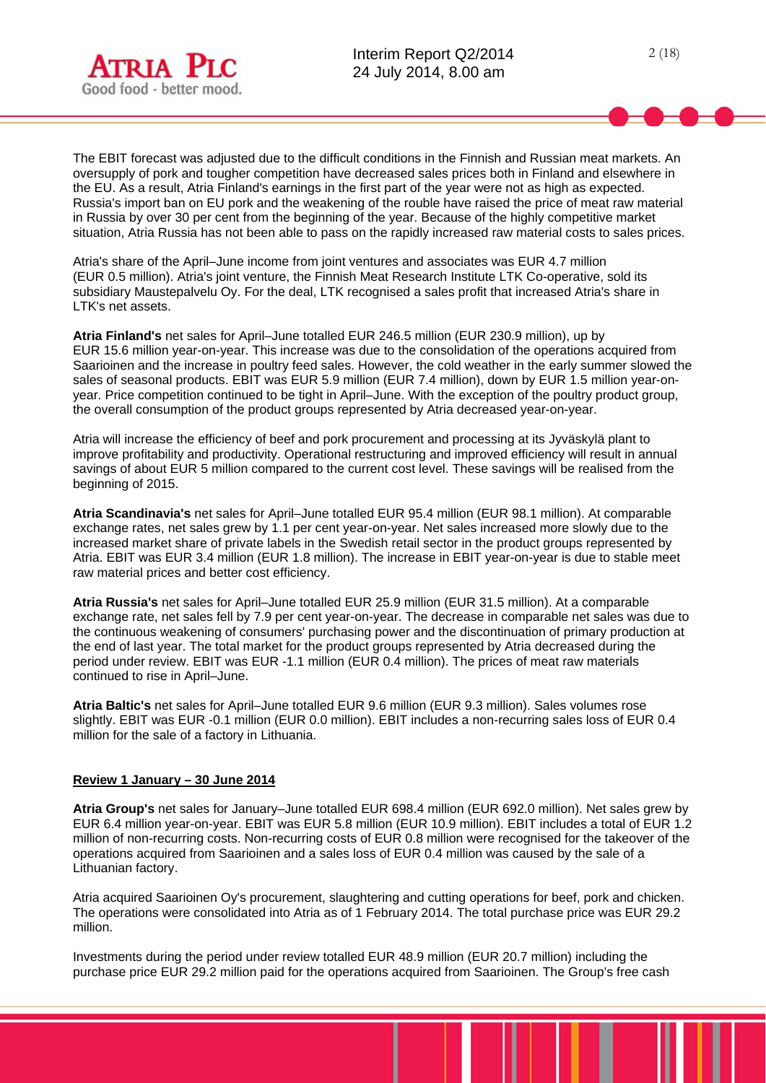

2 (18)

The EBIT forecast was adjusted due to the difficult conditions in the Finnish and Russian meat markets. An oversupply of pork and tougher competition have decreased sales prices both in Finland and elsewhere in the EU. As a result, Atria Finland's earnings in the first part of the year were not as high as expected. Russia's import ban on EU pork and the weakening of the rouble have raised the price of meat raw material in Russia by over 30 per cent from the beginning of the year. Because of the highly competitive market situation, Atria Russia has not been able to pass on the rapidly increased raw material costs to sales prices.

Atria's share of the April–June income from joint ventures and associates was EUR 4.7 million (EUR 0.5 million). Atria's joint venture, the Finnish Meat Research Institute LTK Co-operative, sold its subsidiary Maustepalvelu Oy. For the deal, LTK recognised a sales profit that increased Atria's share in LTK's net assets.

**Atria Finland's** net sales for April–June totalled EUR 246.5 million (EUR 230.9 million), up by EUR 15.6 million year-on-year. This increase was due to the consolidation of the operations acquired from Saarioinen and the increase in poultry feed sales. However, the cold weather in the early summer slowed the sales of seasonal products. EBIT was EUR 5.9 million (EUR 7.4 million), down by EUR 1.5 million year-onyear. Price competition continued to be tight in April–June. With the exception of the poultry product group, the overall consumption of the product groups represented by Atria decreased year-on-year.

Atria will increase the efficiency of beef and pork procurement and processing at its Jyväskylä plant to improve profitability and productivity. Operational restructuring and improved efficiency will result in annual savings of about EUR 5 million compared to the current cost level. These savings will be realised from the beginning of 2015.

**Atria Scandinavia's** net sales for April–June totalled EUR 95.4 million (EUR 98.1 million). At comparable exchange rates, net sales grew by 1.1 per cent year-on-year. Net sales increased more slowly due to the increased market share of private labels in the Swedish retail sector in the product groups represented by Atria. EBIT was EUR 3.4 million (EUR 1.8 million). The increase in EBIT year-on-year is due to stable meet raw material prices and better cost efficiency.

**Atria Russia's** net sales for April–June totalled EUR 25.9 million (EUR 31.5 million). At a comparable exchange rate, net sales fell by 7.9 per cent year-on-year. The decrease in comparable net sales was due to the continuous weakening of consumers' purchasing power and the discontinuation of primary production at the end of last year. The total market for the product groups represented by Atria decreased during the period under review. EBIT was EUR -1.1 million (EUR 0.4 million). The prices of meat raw materials continued to rise in April–June.

**Atria Baltic's** net sales for April–June totalled EUR 9.6 million (EUR 9.3 million). Sales volumes rose slightly. EBIT was EUR -0.1 million (EUR 0.0 million). EBIT includes a non-recurring sales loss of EUR 0.4 million for the sale of a factory in Lithuania.

## **Review 1 January – 30 June 2014**

**Atria Group's** net sales for January–June totalled EUR 698.4 million (EUR 692.0 million). Net sales grew by EUR 6.4 million year-on-year. EBIT was EUR 5.8 million (EUR 10.9 million). EBIT includes a total of EUR 1.2 million of non-recurring costs. Non-recurring costs of EUR 0.8 million were recognised for the takeover of the operations acquired from Saarioinen and a sales loss of EUR 0.4 million was caused by the sale of a Lithuanian factory.

Atria acquired Saarioinen Oy's procurement, slaughtering and cutting operations for beef, pork and chicken. The operations were consolidated into Atria as of 1 February 2014. The total purchase price was EUR 29.2 million.

Investments during the period under review totalled EUR 48.9 million (EUR 20.7 million) including the purchase price EUR 29.2 million paid for the operations acquired from Saarioinen. The Group's free cash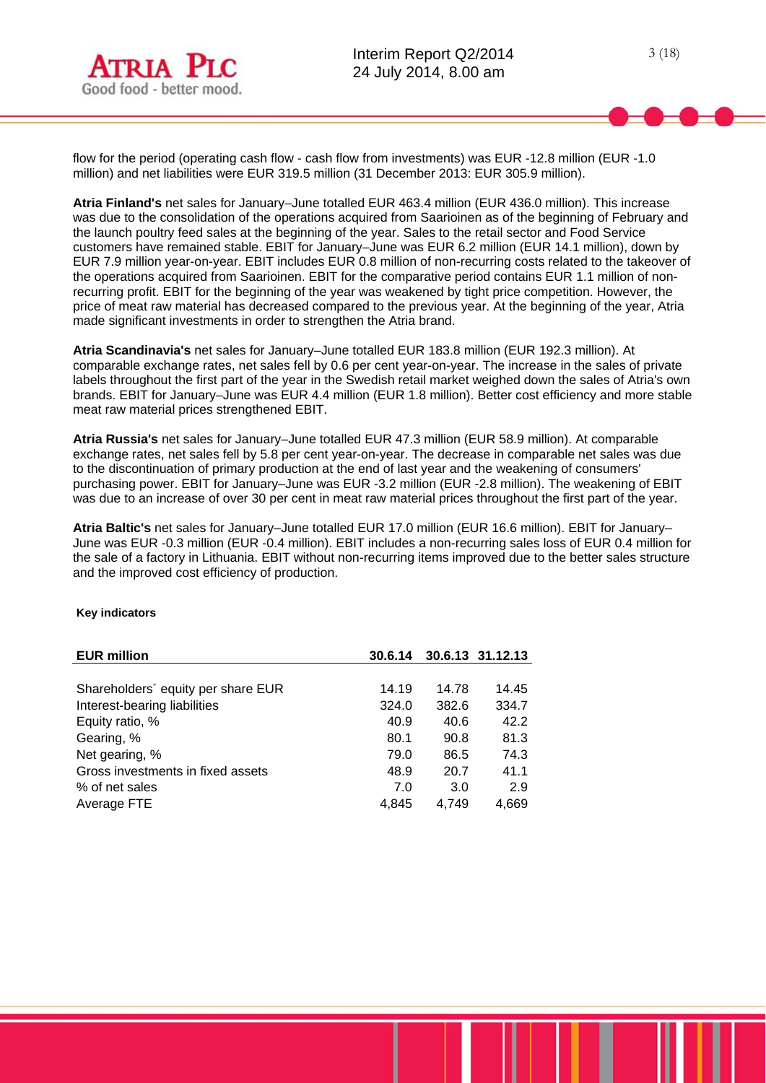

flow for the period (operating cash flow - cash flow from investments) was EUR -12.8 million (EUR -1.0 million) and net liabilities were EUR 319.5 million (31 December 2013: EUR 305.9 million).

**Atria Finland's** net sales for January–June totalled EUR 463.4 million (EUR 436.0 million). This increase was due to the consolidation of the operations acquired from Saarioinen as of the beginning of February and the launch poultry feed sales at the beginning of the year. Sales to the retail sector and Food Service customers have remained stable. EBIT for January–June was EUR 6.2 million (EUR 14.1 million), down by EUR 7.9 million year-on-year. EBIT includes EUR 0.8 million of non-recurring costs related to the takeover of the operations acquired from Saarioinen. EBIT for the comparative period contains EUR 1.1 million of nonrecurring profit. EBIT for the beginning of the year was weakened by tight price competition. However, the price of meat raw material has decreased compared to the previous year. At the beginning of the year, Atria made significant investments in order to strengthen the Atria brand.

**Atria Scandinavia's** net sales for January–June totalled EUR 183.8 million (EUR 192.3 million). At comparable exchange rates, net sales fell by 0.6 per cent year-on-year. The increase in the sales of private labels throughout the first part of the year in the Swedish retail market weighed down the sales of Atria's own brands. EBIT for January–June was EUR 4.4 million (EUR 1.8 million). Better cost efficiency and more stable meat raw material prices strengthened EBIT.

**Atria Russia's** net sales for January–June totalled EUR 47.3 million (EUR 58.9 million). At comparable exchange rates, net sales fell by 5.8 per cent year-on-year. The decrease in comparable net sales was due to the discontinuation of primary production at the end of last year and the weakening of consumers' purchasing power. EBIT for January–June was EUR -3.2 million (EUR -2.8 million). The weakening of EBIT was due to an increase of over 30 per cent in meat raw material prices throughout the first part of the year.

**Atria Baltic's** net sales for January–June totalled EUR 17.0 million (EUR 16.6 million). EBIT for January– June was EUR -0.3 million (EUR -0.4 million). EBIT includes a non-recurring sales loss of EUR 0.4 million for the sale of a factory in Lithuania. EBIT without non-recurring items improved due to the better sales structure and the improved cost efficiency of production.

#### **Key indicators**

| <b>EUR million</b>                 | 30.6.14 |       | 30.6.13 31.12.13 |
|------------------------------------|---------|-------|------------------|
|                                    |         |       |                  |
| Shareholders' equity per share EUR | 14.19   | 14.78 | 14.45            |
| Interest-bearing liabilities       | 324.0   | 382.6 | 334.7            |
| Equity ratio, %                    | 40.9    | 40.6  | 42.2             |
| Gearing, %                         | 80.1    | 90.8  | 81.3             |
| Net gearing, %                     | 79.0    | 86.5  | 74.3             |
| Gross investments in fixed assets  | 48.9    | 20.7  | 41.1             |
| % of net sales                     | 7.0     | 3.0   | 2.9              |
| Average FTE                        | 4.845   | 4.749 | 4,669            |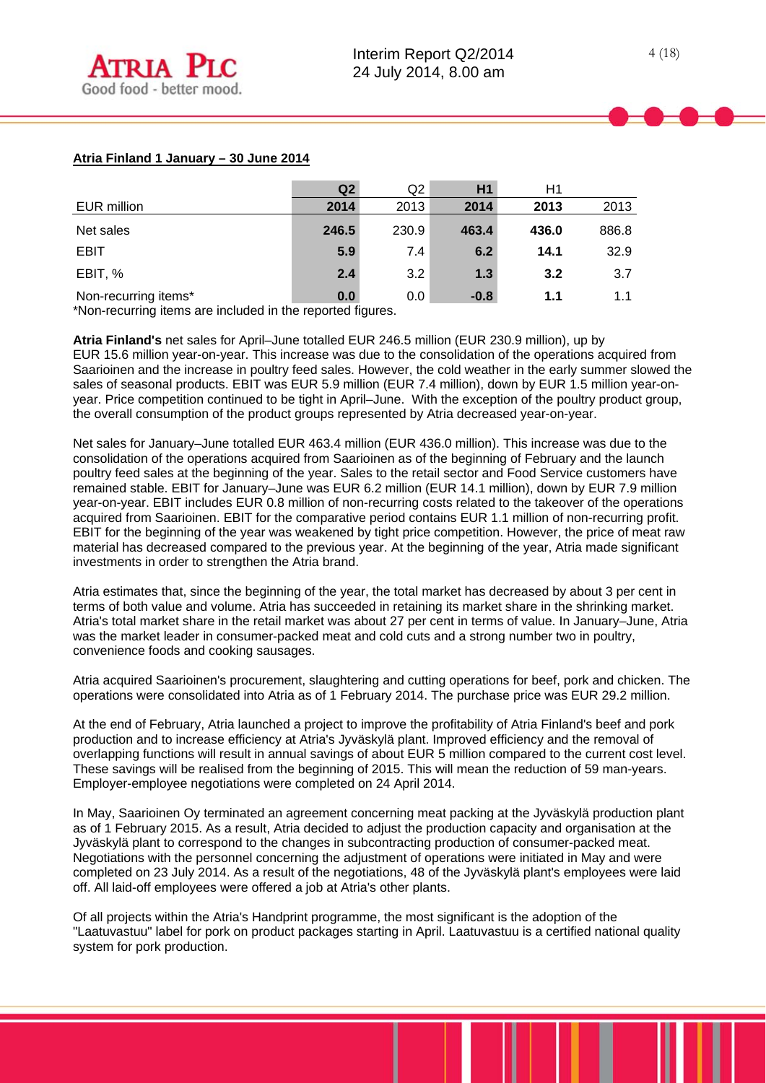|                      | Q <sub>2</sub> | Q2    | H1     | Η1    |       |
|----------------------|----------------|-------|--------|-------|-------|
| EUR million          | 2014           | 2013  | 2014   | 2013  | 2013  |
| Net sales            | 246.5          | 230.9 | 463.4  | 436.0 | 886.8 |
| <b>EBIT</b>          | 5.9            | 7.4   | 6.2    | 14.1  | 32.9  |
| EBIT, %              | 2.4            | 3.2   | 1.3    | 3.2   | 3.7   |
| Non-recurring items* | 0.0            | 0.0   | $-0.8$ | 1.1   | 1.1   |

\*Non-recurring items are included in the reported figures.

**Atria Finland's** net sales for April–June totalled EUR 246.5 million (EUR 230.9 million), up by EUR 15.6 million year-on-year. This increase was due to the consolidation of the operations acquired from Saarioinen and the increase in poultry feed sales. However, the cold weather in the early summer slowed the sales of seasonal products. EBIT was EUR 5.9 million (EUR 7.4 million), down by EUR 1.5 million year-onyear. Price competition continued to be tight in April–June. With the exception of the poultry product group, the overall consumption of the product groups represented by Atria decreased year-on-year.

Net sales for January–June totalled EUR 463.4 million (EUR 436.0 million). This increase was due to the consolidation of the operations acquired from Saarioinen as of the beginning of February and the launch poultry feed sales at the beginning of the year. Sales to the retail sector and Food Service customers have remained stable. EBIT for January–June was EUR 6.2 million (EUR 14.1 million), down by EUR 7.9 million year-on-year. EBIT includes EUR 0.8 million of non-recurring costs related to the takeover of the operations acquired from Saarioinen. EBIT for the comparative period contains EUR 1.1 million of non-recurring profit. EBIT for the beginning of the year was weakened by tight price competition. However, the price of meat raw material has decreased compared to the previous year. At the beginning of the year, Atria made significant investments in order to strengthen the Atria brand.

Atria estimates that, since the beginning of the year, the total market has decreased by about 3 per cent in terms of both value and volume. Atria has succeeded in retaining its market share in the shrinking market. Atria's total market share in the retail market was about 27 per cent in terms of value. In January–June, Atria was the market leader in consumer-packed meat and cold cuts and a strong number two in poultry, convenience foods and cooking sausages.

Atria acquired Saarioinen's procurement, slaughtering and cutting operations for beef, pork and chicken. The operations were consolidated into Atria as of 1 February 2014. The purchase price was EUR 29.2 million.

At the end of February, Atria launched a project to improve the profitability of Atria Finland's beef and pork production and to increase efficiency at Atria's Jyväskylä plant. Improved efficiency and the removal of overlapping functions will result in annual savings of about EUR 5 million compared to the current cost level. These savings will be realised from the beginning of 2015. This will mean the reduction of 59 man-years. Employer-employee negotiations were completed on 24 April 2014.

In May, Saarioinen Oy terminated an agreement concerning meat packing at the Jyväskylä production plant as of 1 February 2015. As a result, Atria decided to adjust the production capacity and organisation at the Jyväskylä plant to correspond to the changes in subcontracting production of consumer-packed meat. Negotiations with the personnel concerning the adjustment of operations were initiated in May and were completed on 23 July 2014. As a result of the negotiations, 48 of the Jyväskylä plant's employees were laid off. All laid-off employees were offered a job at Atria's other plants.

Of all projects within the Atria's Handprint programme, the most significant is the adoption of the "Laatuvastuu" label for pork on product packages starting in April. Laatuvastuu is a certified national quality system for pork production.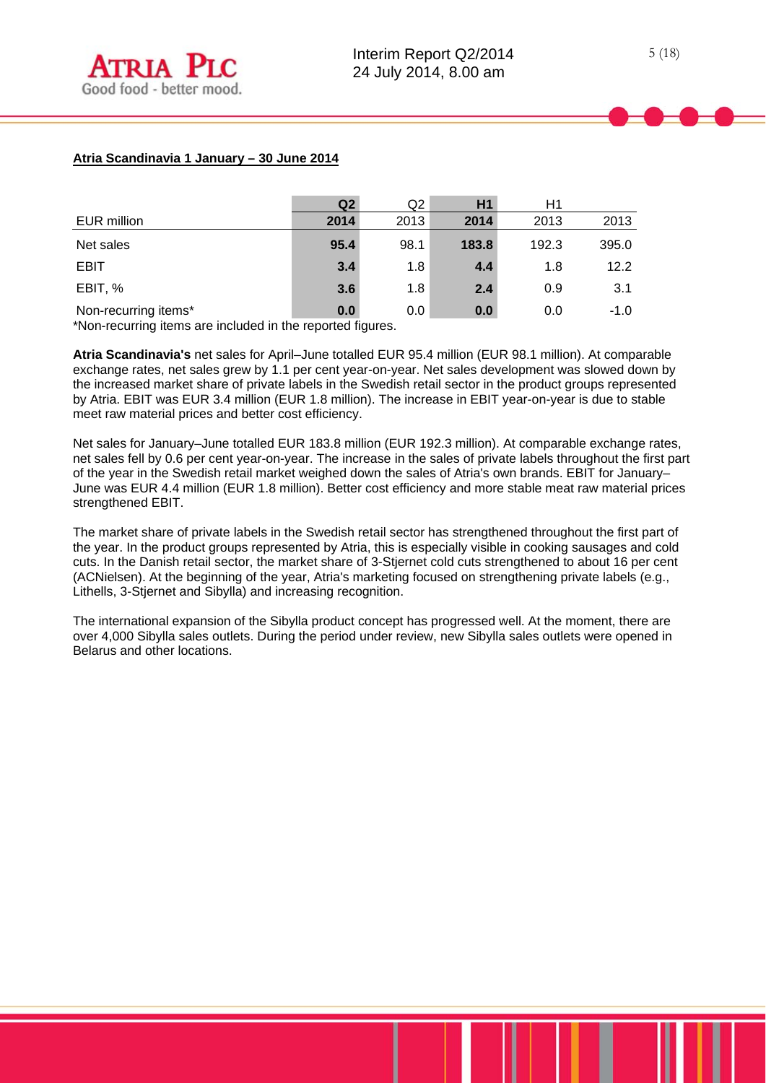# **Atria Scandinavia 1 January – 30 June 2014**

|                           | Q <sub>2</sub> | Q2   | H1    | H1    |        |
|---------------------------|----------------|------|-------|-------|--------|
| <b>EUR million</b>        | 2014           | 2013 | 2014  | 2013  | 2013   |
| Net sales                 | 95.4           | 98.1 | 183.8 | 192.3 | 395.0  |
| <b>EBIT</b>               | 3.4            | 1.8  | 4.4   | 1.8   | 12.2   |
| EBIT, %                   | 3.6            | 1.8  | 2.4   | 0.9   | 3.1    |
| Non-recurring items*<br>. | 0.0<br>.       | 0.0  | 0.0   | 0.0   | $-1.0$ |

\*Non-recurring items are included in the reported figures.

**Atria Scandinavia's** net sales for April–June totalled EUR 95.4 million (EUR 98.1 million). At comparable exchange rates, net sales grew by 1.1 per cent year-on-year. Net sales development was slowed down by the increased market share of private labels in the Swedish retail sector in the product groups represented by Atria. EBIT was EUR 3.4 million (EUR 1.8 million). The increase in EBIT year-on-year is due to stable meet raw material prices and better cost efficiency.

Net sales for January–June totalled EUR 183.8 million (EUR 192.3 million). At comparable exchange rates, net sales fell by 0.6 per cent year-on-year. The increase in the sales of private labels throughout the first part of the year in the Swedish retail market weighed down the sales of Atria's own brands. EBIT for January– June was EUR 4.4 million (EUR 1.8 million). Better cost efficiency and more stable meat raw material prices strengthened EBIT.

The market share of private labels in the Swedish retail sector has strengthened throughout the first part of the year. In the product groups represented by Atria, this is especially visible in cooking sausages and cold cuts. In the Danish retail sector, the market share of 3-Stjernet cold cuts strengthened to about 16 per cent (ACNielsen). At the beginning of the year, Atria's marketing focused on strengthening private labels (e.g., Lithells, 3-Stjernet and Sibylla) and increasing recognition.

The international expansion of the Sibylla product concept has progressed well. At the moment, there are over 4,000 Sibylla sales outlets. During the period under review, new Sibylla sales outlets were opened in Belarus and other locations.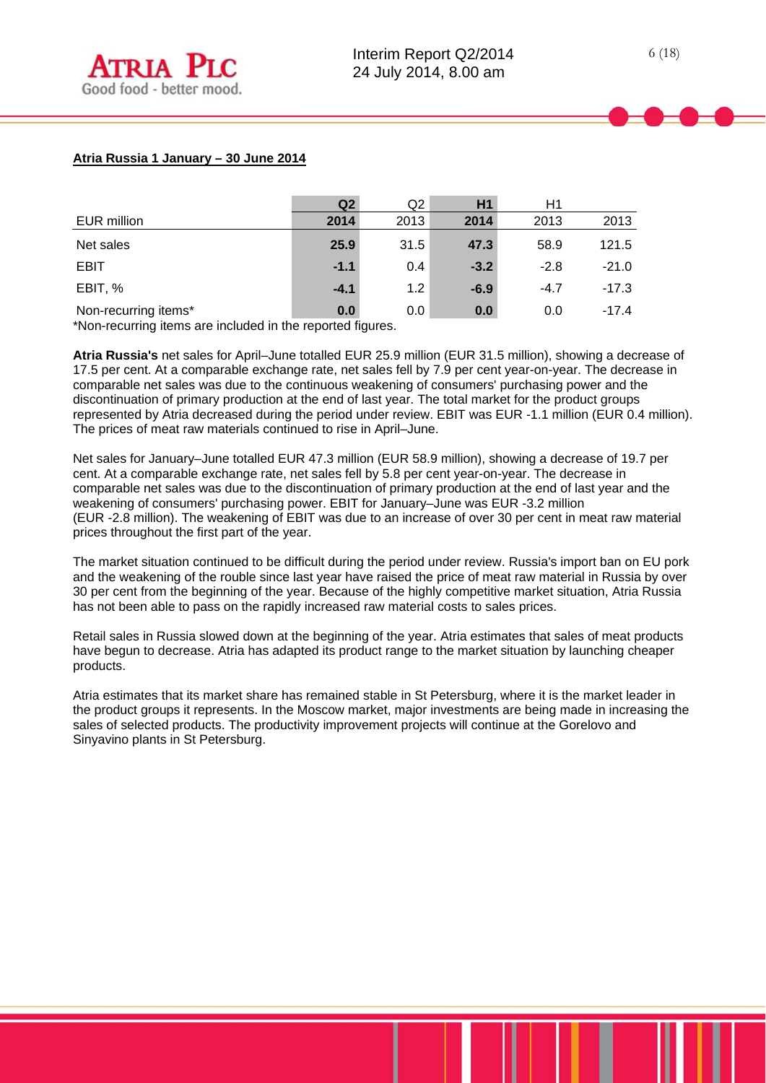|                                                                 | Q <sub>2</sub>              | Q2   | H1     | H1     |         |
|-----------------------------------------------------------------|-----------------------------|------|--------|--------|---------|
| <b>EUR million</b>                                              | 2014                        | 2013 | 2014   | 2013   | 2013    |
| Net sales                                                       | 25.9                        | 31.5 | 47.3   | 58.9   | 121.5   |
| <b>EBIT</b>                                                     | $-1.1$                      | 0.4  | $-3.2$ | $-2.8$ | $-21.0$ |
| EBIT, %                                                         | $-4.1$                      | 1.2  | $-6.9$ | $-4.7$ | $-17.3$ |
| Non-recurring items*<br>.<br>$\mathbf{A}$ and $\mathbf{A}$<br>. | 0.0<br>$\sim$ $\sim$ $\sim$ | 0.0  | 0.0    | 0.0    | $-17.4$ |

\*Non-recurring items are included in the reported figures.

**Atria Russia's** net sales for April–June totalled EUR 25.9 million (EUR 31.5 million), showing a decrease of 17.5 per cent. At a comparable exchange rate, net sales fell by 7.9 per cent year-on-year. The decrease in comparable net sales was due to the continuous weakening of consumers' purchasing power and the discontinuation of primary production at the end of last year. The total market for the product groups represented by Atria decreased during the period under review. EBIT was EUR -1.1 million (EUR 0.4 million). The prices of meat raw materials continued to rise in April–June.

Net sales for January–June totalled EUR 47.3 million (EUR 58.9 million), showing a decrease of 19.7 per cent. At a comparable exchange rate, net sales fell by 5.8 per cent year-on-year. The decrease in comparable net sales was due to the discontinuation of primary production at the end of last year and the weakening of consumers' purchasing power. EBIT for January–June was EUR -3.2 million (EUR -2.8 million). The weakening of EBIT was due to an increase of over 30 per cent in meat raw material prices throughout the first part of the year.

The market situation continued to be difficult during the period under review. Russia's import ban on EU pork and the weakening of the rouble since last year have raised the price of meat raw material in Russia by over 30 per cent from the beginning of the year. Because of the highly competitive market situation, Atria Russia has not been able to pass on the rapidly increased raw material costs to sales prices.

Retail sales in Russia slowed down at the beginning of the year. Atria estimates that sales of meat products have begun to decrease. Atria has adapted its product range to the market situation by launching cheaper products.

Atria estimates that its market share has remained stable in St Petersburg, where it is the market leader in the product groups it represents. In the Moscow market, major investments are being made in increasing the sales of selected products. The productivity improvement projects will continue at the Gorelovo and Sinyavino plants in St Petersburg.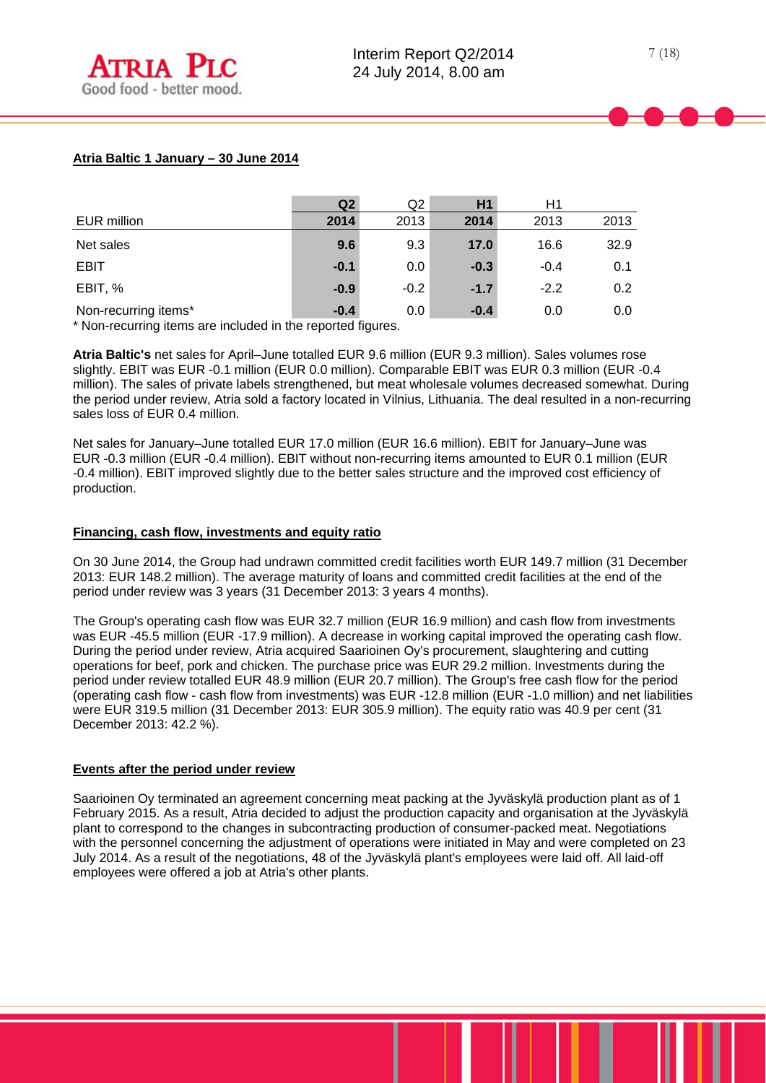# **Atria Baltic 1 January – 30 June 2014**

|                                | Q <sub>2</sub> | Q2     | H1     | H1     |      |
|--------------------------------|----------------|--------|--------|--------|------|
| EUR million                    | 2014           | 2013   | 2014   | 2013   | 2013 |
| Net sales                      | 9.6            | 9.3    | 17.0   | 16.6   | 32.9 |
| <b>EBIT</b>                    | $-0.1$         | 0.0    | $-0.3$ | $-0.4$ | 0.1  |
| EBIT, %                        | $-0.9$         | $-0.2$ | $-1.7$ | $-2.2$ | 0.2  |
| Non-recurring items*<br>.<br>. | $-0.4$<br>.    | 0.0    | $-0.4$ | 0.0    | 0.0  |

\* Non-recurring items are included in the reported figures.

**Atria Baltic's** net sales for April–June totalled EUR 9.6 million (EUR 9.3 million). Sales volumes rose slightly. EBIT was EUR -0.1 million (EUR 0.0 million). Comparable EBIT was EUR 0.3 million (EUR -0.4 million). The sales of private labels strengthened, but meat wholesale volumes decreased somewhat. During the period under review, Atria sold a factory located in Vilnius, Lithuania. The deal resulted in a non-recurring sales loss of EUR 0.4 million.

Net sales for January–June totalled EUR 17.0 million (EUR 16.6 million). EBIT for January–June was EUR -0.3 million (EUR -0.4 million). EBIT without non-recurring items amounted to EUR 0.1 million (EUR -0.4 million). EBIT improved slightly due to the better sales structure and the improved cost efficiency of production.

### **Financing, cash flow, investments and equity ratio**

On 30 June 2014, the Group had undrawn committed credit facilities worth EUR 149.7 million (31 December 2013: EUR 148.2 million). The average maturity of loans and committed credit facilities at the end of the period under review was 3 years (31 December 2013: 3 years 4 months).

The Group's operating cash flow was EUR 32.7 million (EUR 16.9 million) and cash flow from investments was EUR -45.5 million (EUR -17.9 million). A decrease in working capital improved the operating cash flow. During the period under review, Atria acquired Saarioinen Oy's procurement, slaughtering and cutting operations for beef, pork and chicken. The purchase price was EUR 29.2 million. Investments during the period under review totalled EUR 48.9 million (EUR 20.7 million). The Group's free cash flow for the period (operating cash flow - cash flow from investments) was EUR -12.8 million (EUR -1.0 million) and net liabilities were EUR 319.5 million (31 December 2013: EUR 305.9 million). The equity ratio was 40.9 per cent (31 December 2013: 42.2 %).

#### **Events after the period under review**

Saarioinen Oy terminated an agreement concerning meat packing at the Jyväskylä production plant as of 1 February 2015. As a result, Atria decided to adjust the production capacity and organisation at the Jyväskylä plant to correspond to the changes in subcontracting production of consumer-packed meat. Negotiations with the personnel concerning the adjustment of operations were initiated in May and were completed on 23 July 2014. As a result of the negotiations, 48 of the Jyväskylä plant's employees were laid off. All laid-off employees were offered a job at Atria's other plants.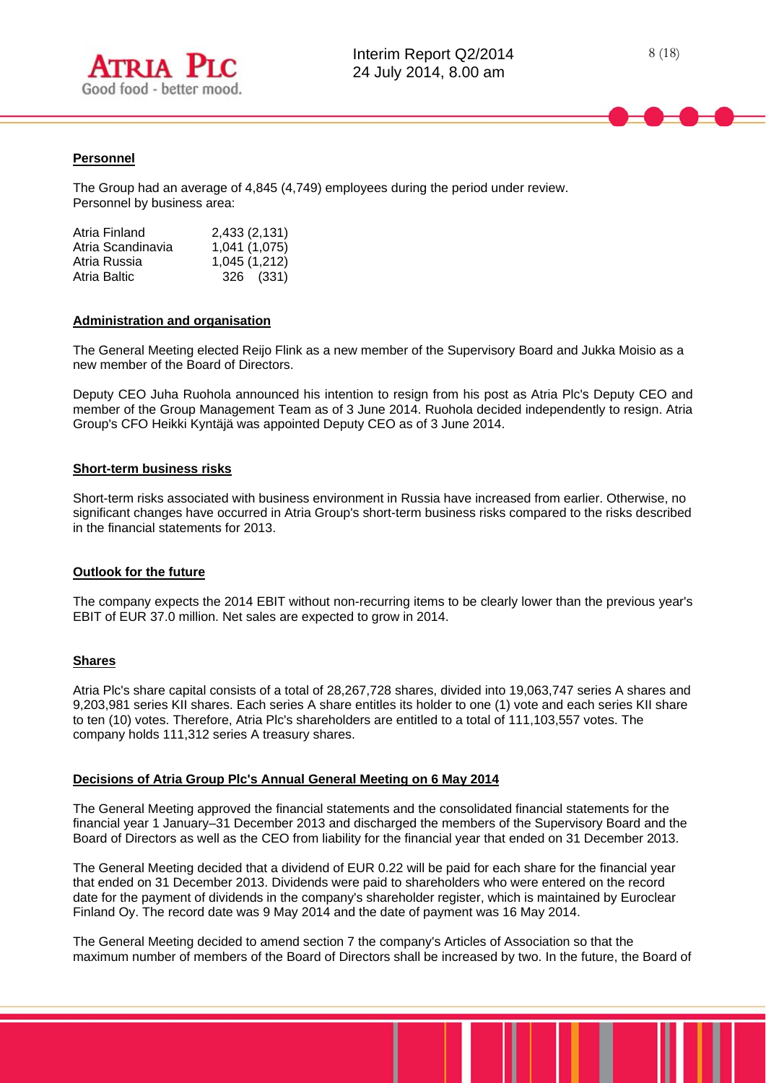

### **Personnel**

l

The Group had an average of 4,845 (4,749) employees during the period under review. Personnel by business area:

| Atria Finland     | 2,433 (2,131) |
|-------------------|---------------|
| Atria Scandinavia | 1,041 (1,075) |
| Atria Russia      | 1,045 (1,212) |
| Atria Baltic      | 326 (331)     |

#### **Administration and organisation**

The General Meeting elected Reijo Flink as a new member of the Supervisory Board and Jukka Moisio as a new member of the Board of Directors.

Deputy CEO Juha Ruohola announced his intention to resign from his post as Atria Plc's Deputy CEO and member of the Group Management Team as of 3 June 2014. Ruohola decided independently to resign. Atria Group's CFO Heikki Kyntäjä was appointed Deputy CEO as of 3 June 2014.

#### **Short-term business risks**

Short-term risks associated with business environment in Russia have increased from earlier. Otherwise, no significant changes have occurred in Atria Group's short-term business risks compared to the risks described in the financial statements for 2013.

#### **Outlook for the future**

The company expects the 2014 EBIT without non-recurring items to be clearly lower than the previous year's EBIT of EUR 37.0 million. Net sales are expected to grow in 2014.

#### **Shares**

Atria Plc's share capital consists of a total of 28,267,728 shares, divided into 19,063,747 series A shares and 9,203,981 series KII shares. Each series A share entitles its holder to one (1) vote and each series KII share to ten (10) votes. Therefore, Atria Plc's shareholders are entitled to a total of 111,103,557 votes. The company holds 111,312 series A treasury shares.

#### **Decisions of Atria Group Plc's Annual General Meeting on 6 May 2014**

The General Meeting approved the financial statements and the consolidated financial statements for the financial year 1 January–31 December 2013 and discharged the members of the Supervisory Board and the Board of Directors as well as the CEO from liability for the financial year that ended on 31 December 2013.

The General Meeting decided that a dividend of EUR 0.22 will be paid for each share for the financial year that ended on 31 December 2013. Dividends were paid to shareholders who were entered on the record date for the payment of dividends in the company's shareholder register, which is maintained by Euroclear Finland Oy. The record date was 9 May 2014 and the date of payment was 16 May 2014.

The General Meeting decided to amend section 7 the company's Articles of Association so that the maximum number of members of the Board of Directors shall be increased by two. In the future, the Board of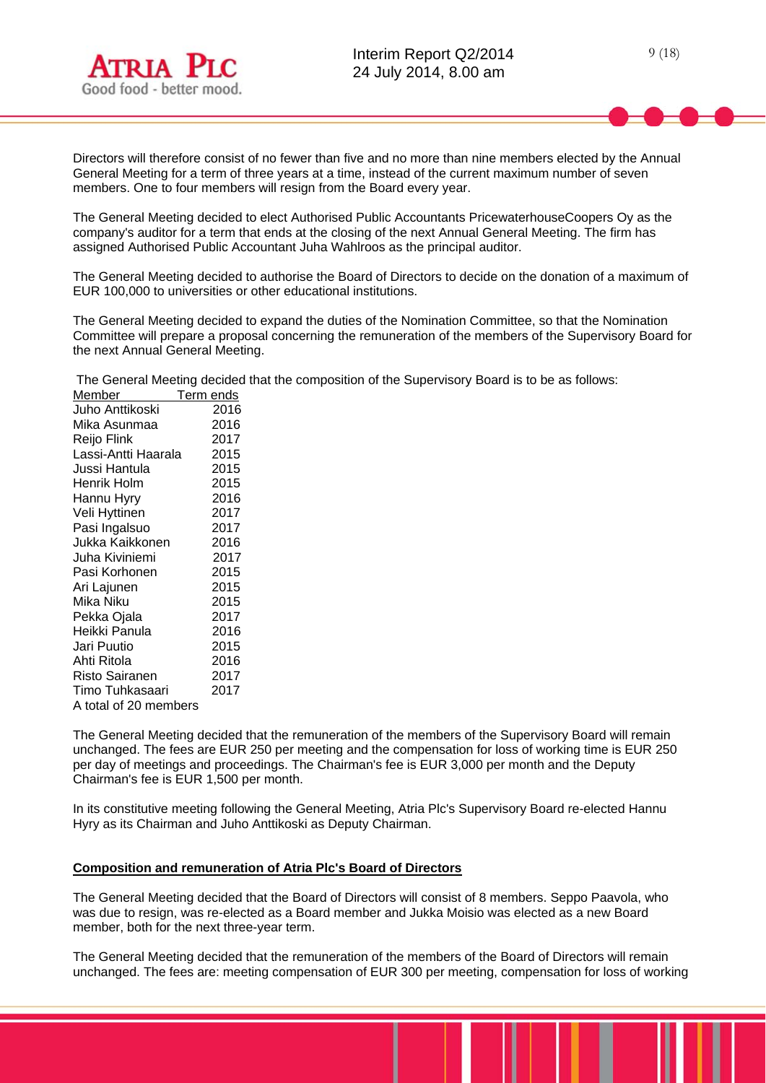

Directors will therefore consist of no fewer than five and no more than nine members elected by the Annual General Meeting for a term of three years at a time, instead of the current maximum number of seven members. One to four members will resign from the Board every year.

The General Meeting decided to elect Authorised Public Accountants PricewaterhouseCoopers Oy as the company's auditor for a term that ends at the closing of the next Annual General Meeting. The firm has assigned Authorised Public Accountant Juha Wahlroos as the principal auditor.

The General Meeting decided to authorise the Board of Directors to decide on the donation of a maximum of EUR 100,000 to universities or other educational institutions.

The General Meeting decided to expand the duties of the Nomination Committee, so that the Nomination Committee will prepare a proposal concerning the remuneration of the members of the Supervisory Board for the next Annual General Meeting.

The General Meeting decided that the composition of the Supervisory Board is to be as follows:

| Member                | Term ends |
|-----------------------|-----------|
| Juho Anttikoski       | 2016      |
| Mika Asunmaa          | 2016      |
| Reijo Flink           | 2017      |
| Lassi-Antti Haarala   | 2015      |
| Jussi Hantula         | 2015      |
| Henrik Holm           | 2015      |
| Hannu Hyry            | 2016      |
| Veli Hyttinen         | 2017      |
| Pasi Ingalsuo         | 2017      |
| Jukka Kaikkonen       | 2016      |
| Juha Kiviniemi        | 2017      |
| Pasi Korhonen         | 2015      |
| Ari Lajunen           | 2015      |
| Mika Niku             | 2015      |
| Pekka Ojala           | 2017      |
| Heikki Panula         | 2016      |
| Jari Puutio           | 2015      |
| Ahti Ritola           | 2016      |
| Risto Sairanen        | 2017      |
| Timo Tuhkasaari       | 2017      |
| A total of 20 members |           |

The General Meeting decided that the remuneration of the members of the Supervisory Board will remain unchanged. The fees are EUR 250 per meeting and the compensation for loss of working time is EUR 250 per day of meetings and proceedings. The Chairman's fee is EUR 3,000 per month and the Deputy Chairman's fee is EUR 1,500 per month.

In its constitutive meeting following the General Meeting, Atria Plc's Supervisory Board re-elected Hannu Hyry as its Chairman and Juho Anttikoski as Deputy Chairman.

#### **Composition and remuneration of Atria Plc's Board of Directors**

The General Meeting decided that the Board of Directors will consist of 8 members. Seppo Paavola, who was due to resign, was re-elected as a Board member and Jukka Moisio was elected as a new Board member, both for the next three-year term.

The General Meeting decided that the remuneration of the members of the Board of Directors will remain unchanged. The fees are: meeting compensation of EUR 300 per meeting, compensation for loss of working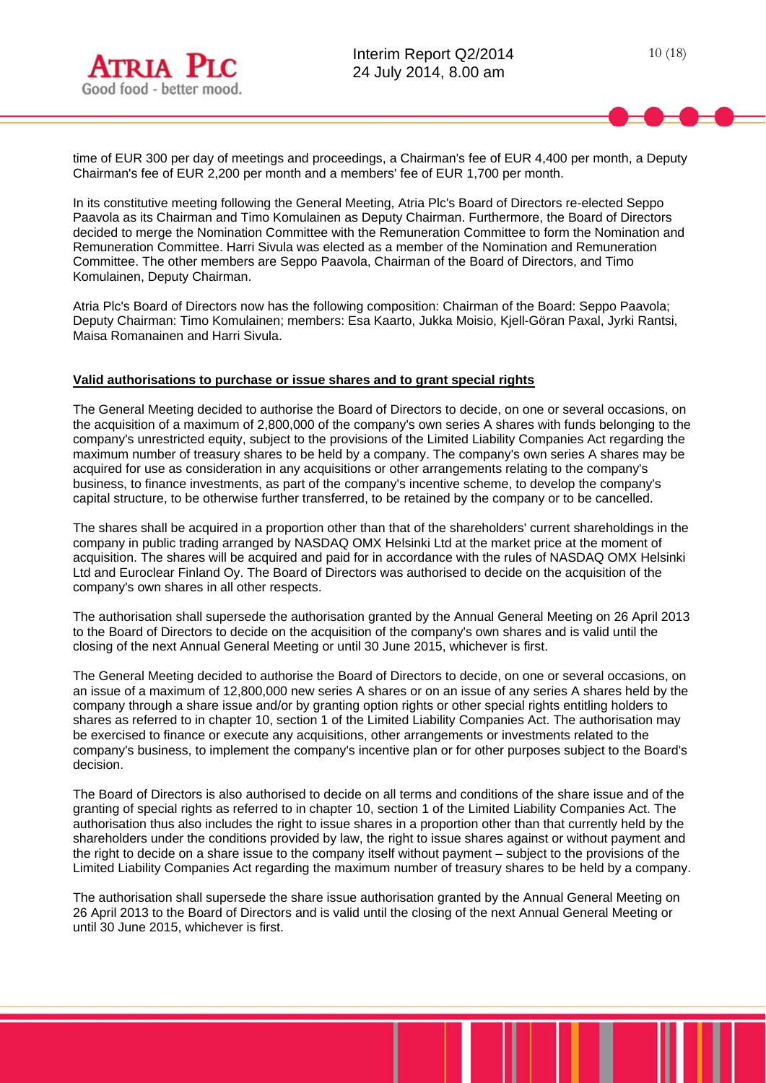

time of EUR 300 per day of meetings and proceedings, a Chairman's fee of EUR 4,400 per month, a Deputy Chairman's fee of EUR 2,200 per month and a members' fee of EUR 1,700 per month.

In its constitutive meeting following the General Meeting, Atria Plc's Board of Directors re-elected Seppo Paavola as its Chairman and Timo Komulainen as Deputy Chairman. Furthermore, the Board of Directors decided to merge the Nomination Committee with the Remuneration Committee to form the Nomination and Remuneration Committee. Harri Sivula was elected as a member of the Nomination and Remuneration Committee. The other members are Seppo Paavola, Chairman of the Board of Directors, and Timo Komulainen, Deputy Chairman.

Atria Plc's Board of Directors now has the following composition: Chairman of the Board: Seppo Paavola; Deputy Chairman: Timo Komulainen; members: Esa Kaarto, Jukka Moisio, Kjell-Göran Paxal, Jyrki Rantsi, Maisa Romanainen and Harri Sivula.

### **Valid authorisations to purchase or issue shares and to grant special rights**

The General Meeting decided to authorise the Board of Directors to decide, on one or several occasions, on the acquisition of a maximum of 2,800,000 of the company's own series A shares with funds belonging to the company's unrestricted equity, subject to the provisions of the Limited Liability Companies Act regarding the maximum number of treasury shares to be held by a company. The company's own series A shares may be acquired for use as consideration in any acquisitions or other arrangements relating to the company's business, to finance investments, as part of the company's incentive scheme, to develop the company's capital structure, to be otherwise further transferred, to be retained by the company or to be cancelled.

The shares shall be acquired in a proportion other than that of the shareholders' current shareholdings in the company in public trading arranged by NASDAQ OMX Helsinki Ltd at the market price at the moment of acquisition. The shares will be acquired and paid for in accordance with the rules of NASDAQ OMX Helsinki Ltd and Euroclear Finland Oy. The Board of Directors was authorised to decide on the acquisition of the company's own shares in all other respects.

The authorisation shall supersede the authorisation granted by the Annual General Meeting on 26 April 2013 to the Board of Directors to decide on the acquisition of the company's own shares and is valid until the closing of the next Annual General Meeting or until 30 June 2015, whichever is first.

The General Meeting decided to authorise the Board of Directors to decide, on one or several occasions, on an issue of a maximum of 12,800,000 new series A shares or on an issue of any series A shares held by the company through a share issue and/or by granting option rights or other special rights entitling holders to shares as referred to in chapter 10, section 1 of the Limited Liability Companies Act. The authorisation may be exercised to finance or execute any acquisitions, other arrangements or investments related to the company's business, to implement the company's incentive plan or for other purposes subject to the Board's decision.

The Board of Directors is also authorised to decide on all terms and conditions of the share issue and of the granting of special rights as referred to in chapter 10, section 1 of the Limited Liability Companies Act. The authorisation thus also includes the right to issue shares in a proportion other than that currently held by the shareholders under the conditions provided by law, the right to issue shares against or without payment and the right to decide on a share issue to the company itself without payment – subject to the provisions of the Limited Liability Companies Act regarding the maximum number of treasury shares to be held by a company.

The authorisation shall supersede the share issue authorisation granted by the Annual General Meeting on 26 April 2013 to the Board of Directors and is valid until the closing of the next Annual General Meeting or until 30 June 2015, whichever is first.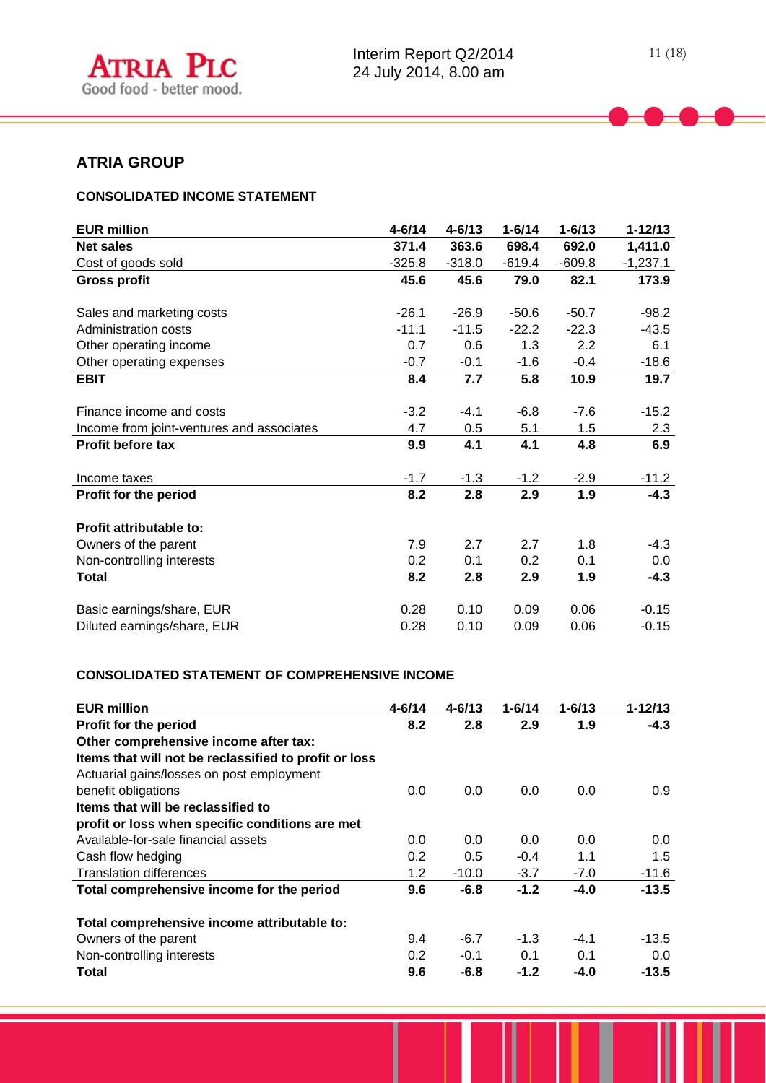# **ATRIA GROUP**

l

# **CONSOLIDATED INCOME STATEMENT**

| <b>EUR million</b>                        | $4 - 6/14$    | $4 - 6/13$    | $1 - 6/14$    | $1 - 6/13$    | $1 - 12/13$    |
|-------------------------------------------|---------------|---------------|---------------|---------------|----------------|
| <b>Net sales</b>                          | 371.4         | 363.6         | 698.4         | 692.0         | 1,411.0        |
| Cost of goods sold                        | $-325.8$      | $-318.0$      | $-619.4$      | $-609.8$      | $-1,237.1$     |
| <b>Gross profit</b>                       | 45.6          | 45.6          | 79.0          | 82.1          | 173.9          |
| Sales and marketing costs                 | $-26.1$       | $-26.9$       | $-50.6$       | $-50.7$       | $-98.2$        |
| Administration costs                      | $-11.1$       | $-11.5$       | $-22.2$       | $-22.3$       | $-43.5$        |
| Other operating income                    | 0.7           | 0.6           | 1.3           | 2.2           | 6.1            |
| Other operating expenses                  | $-0.7$        | $-0.1$        | $-1.6$        | $-0.4$        | $-18.6$        |
| <b>EBIT</b>                               | 8.4           | 7.7           | 5.8           | 10.9          | 19.7           |
| Finance income and costs                  | $-3.2$<br>4.7 | $-4.1$<br>0.5 | $-6.8$<br>5.1 | $-7.6$<br>1.5 | $-15.2$<br>2.3 |
| Income from joint-ventures and associates |               |               |               |               |                |
| Profit before tax                         | 9.9           | 4.1           | 4.1           | 4.8           | 6.9            |
| Income taxes                              | $-1.7$        | $-1.3$        | $-1.2$        | $-2.9$        | $-11.2$        |
| Profit for the period                     | 8.2           | 2.8           | 2.9           | 1.9           | $-4.3$         |
| Profit attributable to:                   |               |               |               |               |                |
| Owners of the parent                      | 7.9           | 2.7           | 2.7           | 1.8           | $-4.3$         |
| Non-controlling interests                 | 0.2           | 0.1           | 0.2           | 0.1           | 0.0            |
| <b>Total</b>                              | 8.2           | 2.8           | 2.9           | 1.9           | $-4.3$         |
| Basic earnings/share, EUR                 | 0.28          | 0.10          | 0.09          | 0.06          | $-0.15$        |
| Diluted earnings/share, EUR               | 0.28          | 0.10          | 0.09          | 0.06          | $-0.15$        |

## **CONSOLIDATED STATEMENT OF COMPREHENSIVE INCOME**

| <b>EUR million</b>                                    | $4 - 6/14$ | $4 - 6/13$ | $1 - 6/14$ | $1 - 6/13$ | $1 - 12/13$ |
|-------------------------------------------------------|------------|------------|------------|------------|-------------|
| Profit for the period                                 | 8.2        | 2.8        | 2.9        | 1.9        | $-4.3$      |
| Other comprehensive income after tax:                 |            |            |            |            |             |
| Items that will not be reclassified to profit or loss |            |            |            |            |             |
| Actuarial gains/losses on post employment             |            |            |            |            |             |
| benefit obligations                                   | 0.0        | 0.0        | 0.0        | 0.0        | 0.9         |
| Items that will be reclassified to                    |            |            |            |            |             |
| profit or loss when specific conditions are met       |            |            |            |            |             |
| Available-for-sale financial assets                   | 0.0        | 0.0        | 0.0        | 0.0        | 0.0         |
| Cash flow hedging                                     | 0.2        | 0.5        | $-0.4$     | 1.1        | 1.5         |
| <b>Translation differences</b>                        | 1.2        | $-10.0$    | $-3.7$     | $-7.0$     | $-11.6$     |
| Total comprehensive income for the period             | 9.6        | $-6.8$     | $-1.2$     | $-4.0$     | $-13.5$     |
| Total comprehensive income attributable to:           |            |            |            |            |             |
| Owners of the parent                                  | 9.4        | $-6.7$     | $-1.3$     | $-4.1$     | $-13.5$     |
| Non-controlling interests                             | 0.2        | $-0.1$     | 0.1        | 0.1        | 0.0         |
| Total                                                 | 9.6        | $-6.8$     | $-1.2$     | $-4.0$     | $-13.5$     |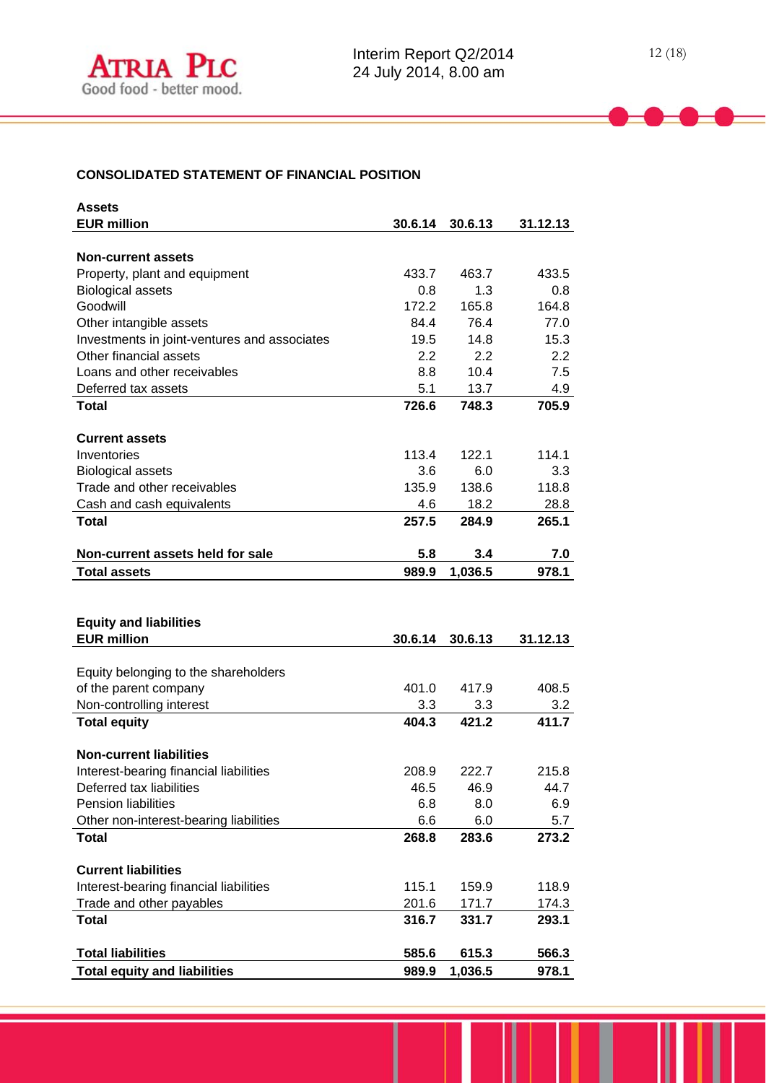# **CONSOLIDATED STATEMENT OF FINANCIAL POSITION**

| <b>Assets</b>                                                      |                |                  |                |
|--------------------------------------------------------------------|----------------|------------------|----------------|
| <b>EUR million</b>                                                 | 30.6.14        | 30.6.13          | 31.12.13       |
|                                                                    |                |                  |                |
| <b>Non-current assets</b>                                          | 433.7          | 463.7            | 433.5          |
| Property, plant and equipment<br><b>Biological assets</b>          | 0.8            | 1.3              | 0.8            |
| Goodwill                                                           | 172.2          | 165.8            | 164.8          |
| Other intangible assets                                            | 84.4           | 76.4             | 77.0           |
| Investments in joint-ventures and associates                       | 19.5           | 14.8             | 15.3           |
| Other financial assets                                             | 2.2            | 2.2              | 2.2            |
| Loans and other receivables                                        | 8.8            | 10.4             | 7.5            |
| Deferred tax assets                                                | 5.1            | 13.7             | 4.9            |
| <b>Total</b>                                                       | 726.6          | 748.3            | 705.9          |
|                                                                    |                |                  |                |
| <b>Current assets</b>                                              |                |                  |                |
| Inventories                                                        | 113.4          | 122.1            | 114.1          |
| <b>Biological assets</b>                                           | 3.6            | 6.0              | 3.3            |
| Trade and other receivables                                        | 135.9          | 138.6            | 118.8          |
| Cash and cash equivalents                                          | 4.6            | 18.2             | 28.8           |
| <b>Total</b>                                                       | 257.5          | 284.9            | 265.1          |
| Non-current assets held for sale                                   | 5.8            | 3.4              | 7.0            |
| <b>Total assets</b>                                                | 989.9          | 1,036.5          | 978.1          |
|                                                                    |                |                  |                |
|                                                                    |                |                  |                |
| <b>Equity and liabilities</b>                                      |                |                  |                |
| <b>EUR million</b>                                                 | 30.6.14        | 30.6.13          | 31.12.13       |
|                                                                    |                |                  |                |
| Equity belonging to the shareholders                               |                |                  |                |
| of the parent company                                              | 401.0          | 417.9            | 408.5          |
| Non-controlling interest                                           | 3.3            | 3.3              | 3.2            |
| <b>Total equity</b>                                                | 404.3          | 421.2            | 411.7          |
|                                                                    |                |                  |                |
| <b>Non-current liabilities</b>                                     |                |                  |                |
| Interest-bearing financial liabilities                             | 208.9          | 222.7            | 215.8          |
| Deferred tax liabilities<br>Pension liabilities                    | 46.5           | 46.9             | 44.7           |
| Other non-interest-bearing liabilities                             | 6.8<br>6.6     | 8.0<br>6.0       | 6.9<br>5.7     |
| <b>Total</b>                                                       |                |                  | 273.2          |
|                                                                    |                |                  |                |
|                                                                    | 268.8          | 283.6            |                |
| <b>Current liabilities</b>                                         |                |                  |                |
|                                                                    | 115.1          | 159.9            | 118.9          |
| Interest-bearing financial liabilities<br>Trade and other payables | 201.6          | 171.7            | 174.3          |
| <b>Total</b>                                                       | 316.7          | 331.7            | 293.1          |
|                                                                    |                |                  |                |
| <b>Total liabilities</b><br><b>Total equity and liabilities</b>    | 585.6<br>989.9 | 615.3<br>1,036.5 | 566.3<br>978.1 |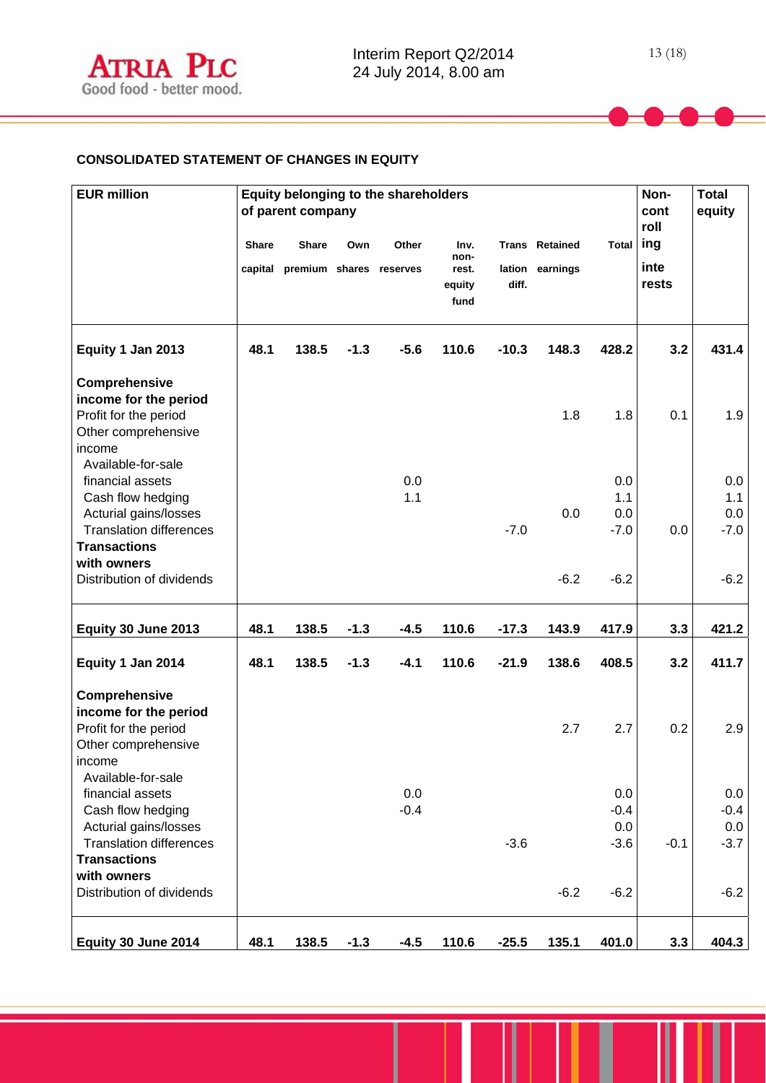# **CONSOLIDATED STATEMENT OF CHANGES IN EQUITY**

| <b>EUR million</b>                                              | Equity belonging to the shareholders<br>of parent company |                                                 |        |        |                       |         |                                          | Non-<br>cont<br>roll | <b>Total</b><br>equity |            |
|-----------------------------------------------------------------|-----------------------------------------------------------|-------------------------------------------------|--------|--------|-----------------------|---------|------------------------------------------|----------------------|------------------------|------------|
|                                                                 | <b>Share</b>                                              | <b>Share</b><br>capital premium shares reserves | Own    | Other  | Inv.<br>non-<br>rest. |         | <b>Trans Retained</b><br>lation earnings | <b>Total</b>         | ing<br>inte            |            |
|                                                                 |                                                           |                                                 |        |        | equity<br>fund        | diff.   |                                          |                      | rests                  |            |
| Equity 1 Jan 2013                                               | 48.1                                                      | 138.5                                           | $-1.3$ | $-5.6$ | 110.6                 | $-10.3$ | 148.3                                    | 428.2                | 3.2                    | 431.4      |
| Comprehensive<br>income for the period<br>Profit for the period |                                                           |                                                 |        |        |                       |         | 1.8                                      | 1.8                  | 0.1                    | 1.9        |
| Other comprehensive<br>income<br>Available-for-sale             |                                                           |                                                 |        |        |                       |         |                                          |                      |                        |            |
| financial assets                                                |                                                           |                                                 |        | 0.0    |                       |         |                                          | 0.0                  |                        | 0.0        |
| Cash flow hedging                                               |                                                           |                                                 |        | 1.1    |                       |         | 0.0                                      | 1.1<br>0.0           |                        | 1.1<br>0.0 |
| Acturial gains/losses<br><b>Translation differences</b>         |                                                           |                                                 |        |        |                       | $-7.0$  |                                          | $-7.0$               | 0.0                    | $-7.0$     |
| <b>Transactions</b>                                             |                                                           |                                                 |        |        |                       |         |                                          |                      |                        |            |
| with owners                                                     |                                                           |                                                 |        |        |                       |         |                                          |                      |                        |            |
| Distribution of dividends                                       |                                                           |                                                 |        |        |                       |         | $-6.2$                                   | $-6.2$               |                        | $-6.2$     |
| Equity 30 June 2013                                             | 48.1                                                      | 138.5                                           | $-1.3$ | $-4.5$ | 110.6                 | $-17.3$ | 143.9                                    | 417.9                | 3.3                    | 421.2      |
| Equity 1 Jan 2014                                               | 48.1                                                      | 138.5                                           | $-1.3$ | $-4.1$ | 110.6                 | $-21.9$ | 138.6                                    | 408.5                | 3.2                    | 411.7      |
| Comprehensive                                                   |                                                           |                                                 |        |        |                       |         |                                          |                      |                        |            |
| income for the period<br>Profit for the period                  |                                                           |                                                 |        |        |                       |         | 2.7                                      | 2.7                  | 0.2                    | 2.9        |
| Other comprehensive                                             |                                                           |                                                 |        |        |                       |         |                                          |                      |                        |            |
| income                                                          |                                                           |                                                 |        |        |                       |         |                                          |                      |                        |            |
| Available-for-sale                                              |                                                           |                                                 |        |        |                       |         |                                          |                      |                        |            |
| financial assets                                                |                                                           |                                                 |        | 0.0    |                       |         |                                          | 0.0                  |                        | 0.0        |
| Cash flow hedging                                               |                                                           |                                                 |        | $-0.4$ |                       |         |                                          | $-0.4$               |                        | $-0.4$     |
| Acturial gains/losses                                           |                                                           |                                                 |        |        |                       |         |                                          | 0.0                  |                        | 0.0        |
| <b>Translation differences</b><br><b>Transactions</b>           |                                                           |                                                 |        |        |                       | $-3.6$  |                                          | $-3.6$               | $-0.1$                 | $-3.7$     |
| with owners<br>Distribution of dividends                        |                                                           |                                                 |        |        |                       |         | $-6.2$                                   | $-6.2$               |                        | $-6.2$     |
| Equity 30 June 2014                                             | 48.1                                                      | 138.5                                           | $-1.3$ | $-4.5$ | 110.6                 | $-25.5$ | 135.1                                    | 401.0                | 3.3                    | 404.3      |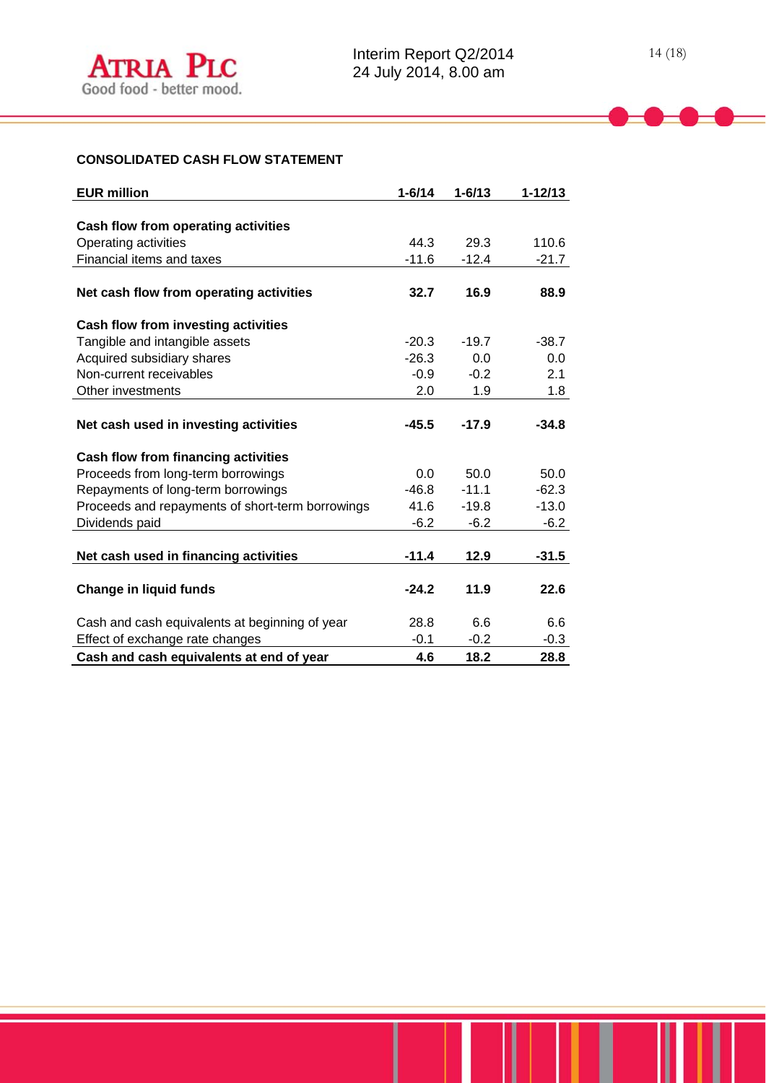# **CONSOLIDATED CASH FLOW STATEMENT**

| <b>EUR million</b>                               | $1 - 6/14$ | $1 - 6/13$ | $1 - 12/13$ |
|--------------------------------------------------|------------|------------|-------------|
|                                                  |            |            |             |
| Cash flow from operating activities              |            |            |             |
| Operating activities                             | 44.3       | 29.3       | 110.6       |
| Financial items and taxes                        | $-11.6$    | $-12.4$    | $-21.7$     |
|                                                  |            |            |             |
| Net cash flow from operating activities          | 32.7       | 16.9       | 88.9        |
| Cash flow from investing activities              |            |            |             |
| Tangible and intangible assets                   | $-20.3$    | $-19.7$    | $-38.7$     |
| Acquired subsidiary shares                       | $-26.3$    | 0.0        | 0.0         |
| Non-current receivables                          | $-0.9$     | $-0.2$     | 2.1         |
| Other investments                                | 2.0        | 1.9        | 1.8         |
|                                                  |            |            |             |
| Net cash used in investing activities            | $-45.5$    | $-17.9$    | $-34.8$     |
| Cash flow from financing activities              |            |            |             |
| Proceeds from long-term borrowings               | 0.0        | 50.0       | 50.0        |
| Repayments of long-term borrowings               | $-46.8$    | $-11.1$    | $-62.3$     |
| Proceeds and repayments of short-term borrowings | 41.6       | $-19.8$    | $-13.0$     |
| Dividends paid                                   | $-6.2$     | $-6.2$     | $-6.2$      |
|                                                  |            |            |             |
| Net cash used in financing activities            | $-11.4$    | 12.9       | $-31.5$     |
|                                                  |            |            |             |
| <b>Change in liquid funds</b>                    | $-24.2$    | 11.9       | 22.6        |
| Cash and cash equivalents at beginning of year   | 28.8       | 6.6        | 6.6         |
| Effect of exchange rate changes                  | $-0.1$     | $-0.2$     | $-0.3$      |
| Cash and cash equivalents at end of year         | 4.6        | 18.2       | 28.8        |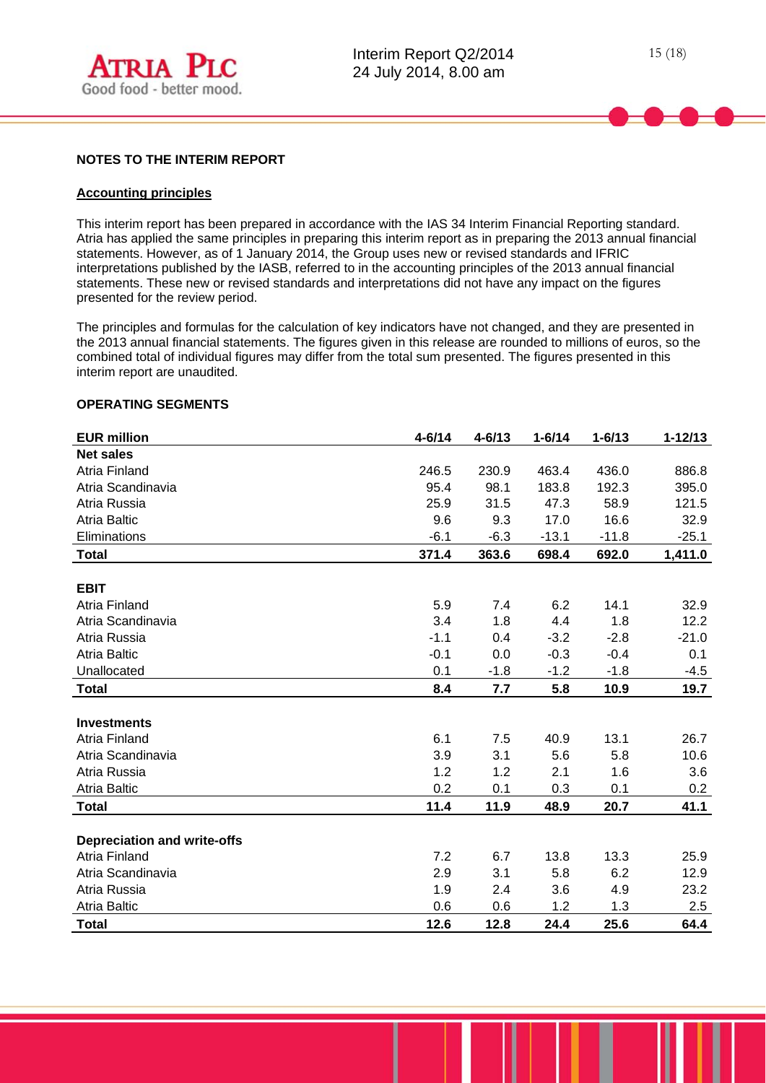

#### **NOTES TO THE INTERIM REPORT**

#### **Accounting principles**

l

This interim report has been prepared in accordance with the IAS 34 Interim Financial Reporting standard. Atria has applied the same principles in preparing this interim report as in preparing the 2013 annual financial statements. However, as of 1 January 2014, the Group uses new or revised standards and IFRIC interpretations published by the IASB, referred to in the accounting principles of the 2013 annual financial statements. These new or revised standards and interpretations did not have any impact on the figures presented for the review period.

The principles and formulas for the calculation of key indicators have not changed, and they are presented in the 2013 annual financial statements. The figures given in this release are rounded to millions of euros, so the combined total of individual figures may differ from the total sum presented. The figures presented in this interim report are unaudited.

#### **OPERATING SEGMENTS**

| <b>EUR million</b>                 | $4 - 6/14$ | $4 - 6/13$ | $1 - 6/14$ | $1 - 6/13$ | $1 - 12/13$ |
|------------------------------------|------------|------------|------------|------------|-------------|
| <b>Net sales</b>                   |            |            |            |            |             |
| Atria Finland                      | 246.5      | 230.9      | 463.4      | 436.0      | 886.8       |
| Atria Scandinavia                  | 95.4       | 98.1       | 183.8      | 192.3      | 395.0       |
| Atria Russia                       | 25.9       | 31.5       | 47.3       | 58.9       | 121.5       |
| <b>Atria Baltic</b>                | 9.6        | 9.3        | 17.0       | 16.6       | 32.9        |
| Eliminations                       | $-6.1$     | $-6.3$     | $-13.1$    | $-11.8$    | $-25.1$     |
| <b>Total</b>                       | 371.4      | 363.6      | 698.4      | 692.0      | 1,411.0     |
|                                    |            |            |            |            |             |
| <b>EBIT</b>                        |            |            |            |            |             |
| Atria Finland                      | 5.9        | 7.4        | 6.2        | 14.1       | 32.9        |
| Atria Scandinavia                  | 3.4        | 1.8        | 4.4        | 1.8        | 12.2        |
| Atria Russia                       | $-1.1$     | 0.4        | $-3.2$     | $-2.8$     | $-21.0$     |
| <b>Atria Baltic</b>                | $-0.1$     | 0.0        | $-0.3$     | $-0.4$     | 0.1         |
| Unallocated                        | 0.1        | $-1.8$     | $-1.2$     | $-1.8$     | $-4.5$      |
| <b>Total</b>                       | 8.4        | 7.7        | 5.8        | 10.9       | 19.7        |
|                                    |            |            |            |            |             |
| <b>Investments</b>                 |            |            |            |            |             |
| <b>Atria Finland</b>               | 6.1        | 7.5        | 40.9       | 13.1       | 26.7        |
| Atria Scandinavia                  | 3.9        | 3.1        | 5.6        | 5.8        | 10.6        |
| Atria Russia                       | 1.2        | 1.2        | 2.1        | 1.6        | 3.6         |
| <b>Atria Baltic</b>                | 0.2        | 0.1        | 0.3        | 0.1        | 0.2         |
| <b>Total</b>                       | 11.4       | 11.9       | 48.9       | 20.7       | 41.1        |
|                                    |            |            |            |            |             |
| <b>Depreciation and write-offs</b> |            |            |            |            |             |
| <b>Atria Finland</b>               | 7.2        | 6.7        | 13.8       | 13.3       | 25.9        |
| Atria Scandinavia                  | 2.9        | 3.1        | 5.8        | 6.2        | 12.9        |
| Atria Russia                       | 1.9        | 2.4        | 3.6        | 4.9        | 23.2        |
| <b>Atria Baltic</b>                | 0.6        | 0.6        | 1.2        | 1.3        | 2.5         |
| <b>Total</b>                       | 12.6       | 12.8       | 24.4       | 25.6       | 64.4        |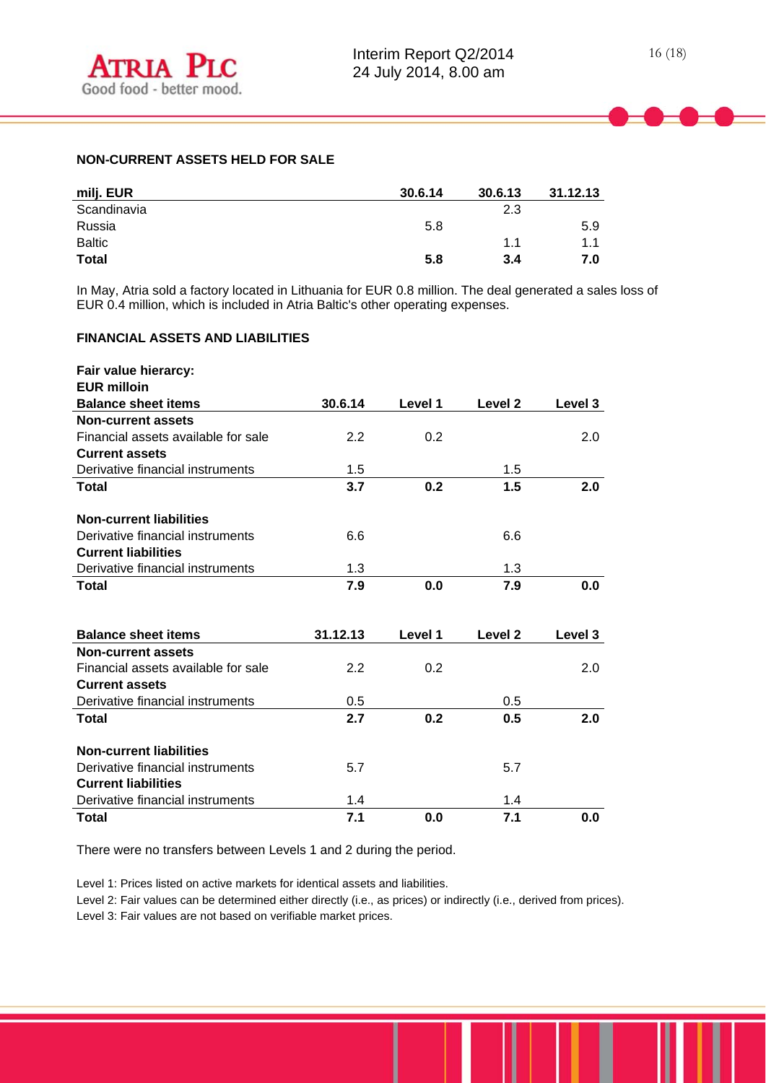## **NON-CURRENT ASSETS HELD FOR SALE**

| milj. EUR     | 30.6.14 | 30.6.13 | 31.12.13 |
|---------------|---------|---------|----------|
| Scandinavia   |         | 2.3     |          |
| Russia        | 5.8     |         | 5.9      |
| <b>Baltic</b> |         | 1.1     | 1.1      |
| <b>Total</b>  | 5.8     | 3.4     | 7.0      |

In May, Atria sold a factory located in Lithuania for EUR 0.8 million. The deal generated a sales loss of EUR 0.4 million, which is included in Atria Baltic's other operating expenses.

# **FINANCIAL ASSETS AND LIABILITIES**

| Fair value hierarcy:                |          |         |                    |         |
|-------------------------------------|----------|---------|--------------------|---------|
| <b>EUR milloin</b>                  |          |         |                    |         |
| <b>Balance sheet items</b>          | 30.6.14  | Level 1 | Level 2            | Level 3 |
| <b>Non-current assets</b>           |          |         |                    |         |
| Financial assets available for sale | 2.2      | 0.2     |                    | 2.0     |
| <b>Current assets</b>               |          |         |                    |         |
| Derivative financial instruments    | 1.5      |         | 1.5                |         |
| Total                               | 3.7      | 0.2     | 1.5                | 2.0     |
| <b>Non-current liabilities</b>      |          |         |                    |         |
| Derivative financial instruments    | 6.6      |         | 6.6                |         |
| <b>Current liabilities</b>          |          |         |                    |         |
| Derivative financial instruments    | 1.3      |         | 1.3                |         |
| Total                               | 7.9      | 0.0     | 7.9                | 0.0     |
|                                     |          |         |                    |         |
| <b>Balance sheet items</b>          | 31.12.13 | Level 1 | Level <sub>2</sub> | Level 3 |
| <b>Non-current assets</b>           |          |         |                    |         |
| Financial assets available for sale | 2.2      | 0.2     |                    | 2.0     |
| <b>Current assets</b>               |          |         |                    |         |
| Derivative financial instruments    | 0.5      |         | 0.5                |         |
| Total                               | 2.7      | 0.2     | 0.5                | 2.0     |
| <b>Non-current liabilities</b>      |          |         |                    |         |
| Derivative financial instruments    | 5.7      |         | 5.7                |         |
| <b>Current liabilities</b>          |          |         |                    |         |
| Derivative financial instruments    | 1.4      |         | 1.4                |         |
| Total                               | 7.1      | 0.0     | 7.1                | 0.0     |

There were no transfers between Levels 1 and 2 during the period.

Level 1: Prices listed on active markets for identical assets and liabilities.

Level 2: Fair values can be determined either directly (i.e., as prices) or indirectly (i.e., derived from prices). Level 3: Fair values are not based on verifiable market prices.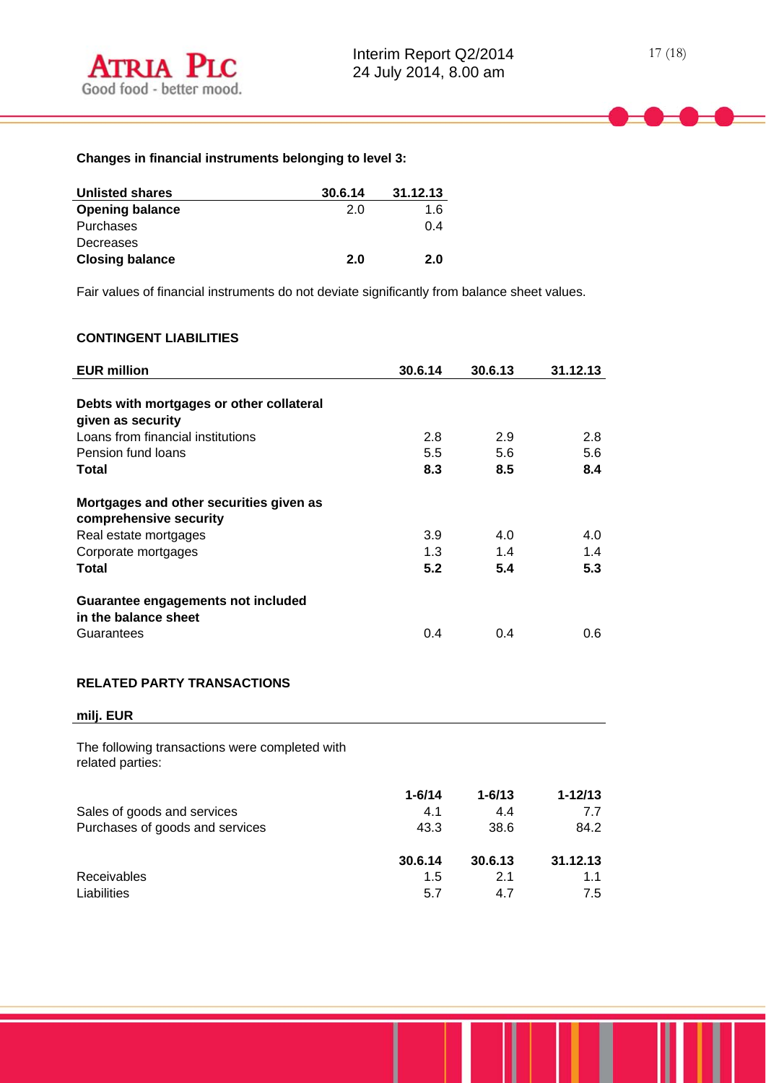$\overline{a}$ 

# **Changes in financial instruments belonging to level 3:**

| <b>Unlisted shares</b> | 30.6.14 | 31.12.13 |
|------------------------|---------|----------|
| <b>Opening balance</b> | 2.0     | 1.6      |
| Purchases              |         | 0.4      |
| Decreases              |         |          |
| <b>Closing balance</b> | 2.0     | 2.0      |

Fair values of financial instruments do not deviate significantly from balance sheet values.

# **CONTINGENT LIABILITIES**

| <b>EUR million</b>                                                 | 30.6.14    | 30.6.13    | 31.12.13    |
|--------------------------------------------------------------------|------------|------------|-------------|
| Debts with mortgages or other collateral<br>given as security      |            |            |             |
| Loans from financial institutions                                  | 2.8        | 2.9        | 2.8         |
| Pension fund loans                                                 | 5.5        | 5.6        | 5.6         |
| <b>Total</b>                                                       | 8.3        | 8.5        | 8.4         |
| Mortgages and other securities given as<br>comprehensive security  |            |            |             |
| Real estate mortgages                                              | 3.9        | 4.0        | 4.0         |
| Corporate mortgages                                                | 1.3        | 1.4        | 1.4         |
| <b>Total</b>                                                       | 5.2        | 5.4        | 5.3         |
| Guarantee engagements not included<br>in the balance sheet         |            |            |             |
| Guarantees                                                         | 0.4        | 0.4        | 0.6         |
| <b>RELATED PARTY TRANSACTIONS</b><br>milj. EUR                     |            |            |             |
| The following transactions were completed with<br>related parties: |            |            |             |
|                                                                    | $1 - 6/14$ | $1 - 6/13$ | $1 - 12/13$ |
| Sales of goods and services                                        | 4.1        | 4.4        | 7.7         |
| Purchases of goods and services                                    | 43.3       | 38.6       | 84.2        |

Receivables 1.5 2.1 1.1 Liabilities 5.7 4.7 7.5

**30.6.14 30.6.13 31.12.13**